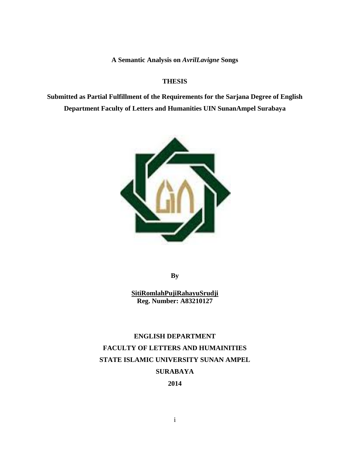**A Semantic Analysis on** *AvrilLavigne* **Songs** 

#### **THESIS**

**Submitted as Partial Fulfillment of the Requirements for the Sarjana Degree of English Department Faculty of Letters and Humanities UIN SunanAmpel Surabaya** 



**By** 

**SitiRomlahPujiRahayuSrudji Reg. Number: A83210127** 

# **ENGLISH DEPARTMENT FACULTY OF LETTERS AND HUMAINITIES STATE ISLAMIC UNIVERSITY SUNAN AMPEL SURABAYA**

**2014**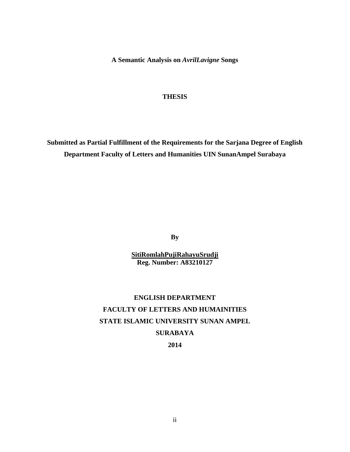**A Semantic Analysis on** *AvrilLavigne* **Songs** 

#### **THESIS**

**Submitted as Partial Fulfillment of the Requirements for the Sarjana Degree of English Department Faculty of Letters and Humanities UIN SunanAmpel Surabaya** 

**By** 

**SitiRomlahPujiRahayuSrudji Reg. Number: A83210127** 

# **ENGLISH DEPARTMENT FACULTY OF LETTERS AND HUMAINITIES STATE ISLAMIC UNIVERSITY SUNAN AMPEL SURABAYA**

**2014**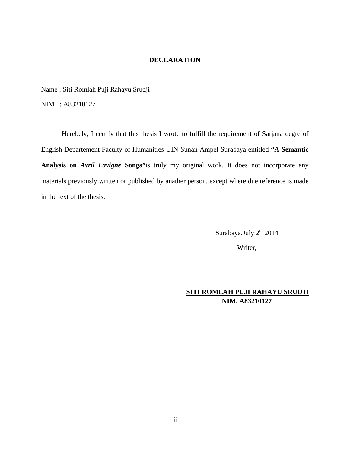#### **DECLARATION**

Name : Siti Romlah Puji Rahayu Srudji

NIM : A83210127

Herebely, I certify that this thesis I wrote to fulfill the requirement of Sarjana degre of English Departement Faculty of Humanities UIN Sunan Ampel Surabaya entitled **"A Semantic Analysis on** *Avril Lavigne* **Songs***"*is truly my original work. It does not incorporate any materials previously written or published by anather person, except where due reference is made in the text of the thesis.

Surabaya, July 2<sup>th</sup> 2014

Writer,

## **SITI ROMLAH PUJI RAHAYU SRUDJI NIM. A83210127**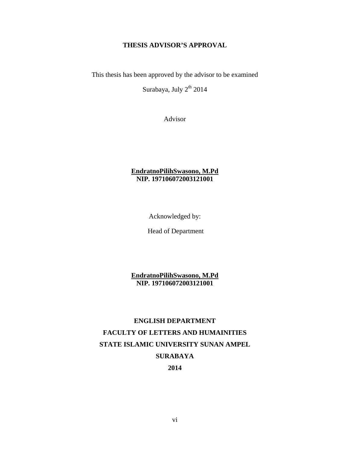### **THESIS ADVISOR'S APPROVAL**

This thesis has been approved by the advisor to be examined

Surabaya, July 2<sup>th</sup> 2014

Advisor

### **EndratnoPilihSwasono, M.Pd NIP. 197106072003121001**

Acknowledged by:

Head of Department

**EndratnoPilihSwasono, M.Pd NIP. 197106072003121001** 

# **ENGLISH DEPARTMENT FACULTY OF LETTERS AND HUMAINITIES STATE ISLAMIC UNIVERSITY SUNAN AMPEL SURABAYA**

**2014**